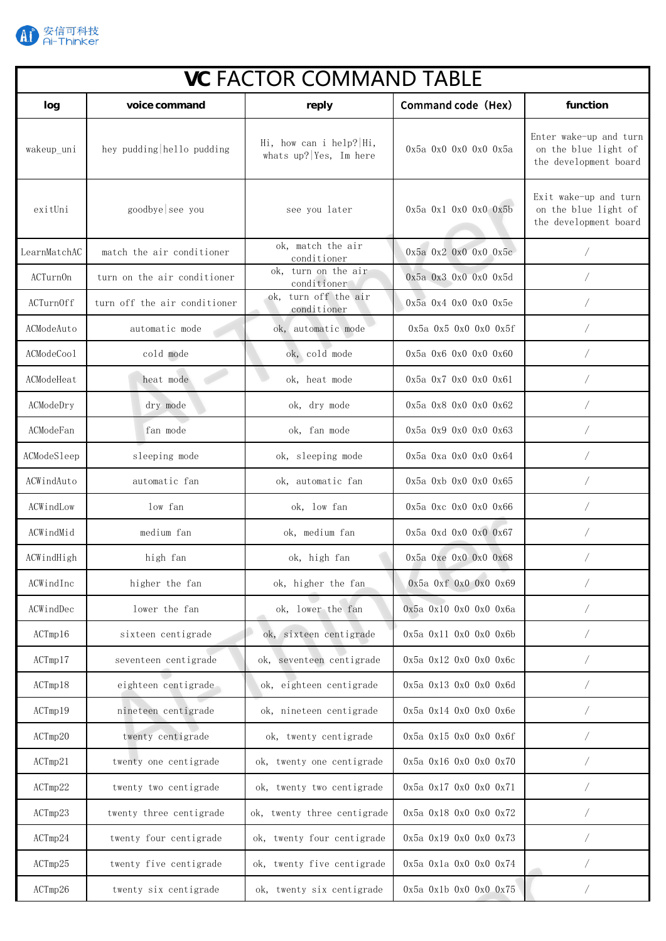

| <b>VC FACTOR COMMAND TABLE</b> |                              |                                                     |                                  |                                                                         |  |  |
|--------------------------------|------------------------------|-----------------------------------------------------|----------------------------------|-------------------------------------------------------------------------|--|--|
| log                            | voice command                | reply                                               | Command code (Hex)               | function                                                                |  |  |
| wakeup uni                     | hey pudding hello pudding    | Hi, how can i help? Hi,<br>whats $up?$ Yes, Im here | $0x5a$ $0x0$ $0x0$ $0x0$ $0x5a$  | Enter wake-up and turn<br>on the blue light of<br>the development board |  |  |
| exitUni                        | goodbye see you              | see you later                                       | $0x5a$ $0x1$ $0x0$ $0x0$ $0x5b$  | Exit wake-up and turn<br>on the blue light of<br>the development board  |  |  |
| LearnMatchAC                   | match the air conditioner    | ok, match the air<br>conditioner                    | $0x5a$ $0x2$ $0x0$ $0x0$ $0x5c$  |                                                                         |  |  |
| ACTurnOn                       | turn on the air conditioner  | ok, turn on the air<br>conditioner                  | 0x5a 0x3 0x0 0x0 0x5d            |                                                                         |  |  |
| ACTurnOff                      | turn off the air conditioner | ok, turn off the air<br>conditioner                 | $0x5a$ $0x4$ $0x0$ $0x0$ $0x5e$  |                                                                         |  |  |
| ACModeAuto                     | automatic mode               | ok, automatic mode                                  | $0x5a$ $0x5$ $0x0$ $0x0$ $0x5f$  |                                                                         |  |  |
| ACModeCool                     | cold mode                    | ok, cold mode                                       | $0x5a$ $0x6$ $0x0$ $0x0$ $0x60$  |                                                                         |  |  |
| ACModeHeat                     | heat mode                    | ok, heat mode                                       | 0x5a 0x7 0x0 0x0 0x61            |                                                                         |  |  |
| ACModeDry                      | dry mode                     | ok, dry mode                                        | $0x5a$ $0x8$ $0x0$ $0x0$ $0x62$  |                                                                         |  |  |
| ACModeFan                      | fan mode                     | ok, fan mode                                        | $0x5a$ $0x9$ $0x0$ $0x0$ $0x63$  |                                                                         |  |  |
| ACModeSleep                    | sleeping mode                | ok, sleeping mode                                   | $0x5a$ $0xa$ $0x0$ $0x0$ $0x64$  |                                                                         |  |  |
| ACWindAuto                     | automatic fan                | ok, automatic fan                                   | 0x5a 0xb 0x0 0x0 0x65            | $\sqrt{2}$                                                              |  |  |
| ACWindLow                      | low fan                      | ok, low fan                                         | 0x5a 0xc 0x0 0x0 0x66            |                                                                         |  |  |
| ACWindMid                      | medium fan                   | ok, medium fan                                      | 0x5a 0xd 0x0 0x0 0x67            |                                                                         |  |  |
| ACWindHigh                     | high fan                     | ok, high fan                                        | $0x5a$ Oxe $0x0$ Ox0 $0x68$      |                                                                         |  |  |
| ACWindInc                      | higher the fan               | ok, higher the fan                                  | 0x5a 0xf 0x0 0x0 0x69            |                                                                         |  |  |
| ACWindDec                      | lower the fan                | ok, lower the fan                                   | 0x5a 0x10 0x0 0x0 0x6a           |                                                                         |  |  |
| ACTmp16                        | sixteen centigrade           | ok, sixteen centigrade                              | 0x5a 0x11 0x0 0x0 0x6b           |                                                                         |  |  |
| ACTmp17                        | seventeen centigrade         | ok, seventeen centigrade                            | 0x5a 0x12 0x0 0x0 0x6c           |                                                                         |  |  |
| ACTmp18                        | eighteen centigrade          | ok, eighteen centigrade                             | 0x5a 0x13 0x0 0x0 0x6d           |                                                                         |  |  |
| ACTmp19                        | nineteen centigrade          | ok, nineteen centigrade                             | 0x5a 0x14 0x0 0x0 0x6e           |                                                                         |  |  |
| ACTmp20                        | twenty centigrade            | ok, twenty centigrade                               | 0x5a 0x15 0x0 0x0 0x6f           |                                                                         |  |  |
| ACTmp21                        | twenty one centigrade        | ok, twenty one centigrade                           | 0x5a 0x16 0x0 0x0 0x70           |                                                                         |  |  |
| ACTmp22                        | twenty two centigrade        | ok, twenty two centigrade                           | 0x5a 0x17 0x0 0x0 0x71           |                                                                         |  |  |
| ACTmp23                        | twenty three centigrade      | ok, twenty three centigrade                         | 0x5a 0x18 0x0 0x0 0x72           |                                                                         |  |  |
| ACTmp24                        | twenty four centigrade       | ok, twenty four centigrade                          | $0x5a$ $0x19$ $0x0$ $0x0$ $0x73$ |                                                                         |  |  |
| ACTmp25                        | twenty five centigrade       | ok, twenty five centigrade                          | 0x5a 0x1a 0x0 0x0 0x74           |                                                                         |  |  |
| ACTmp26                        | twenty six centigrade        | ok, twenty six centigrade                           | 0x5a 0x1b 0x0 0x0 0x75           | Γ                                                                       |  |  |